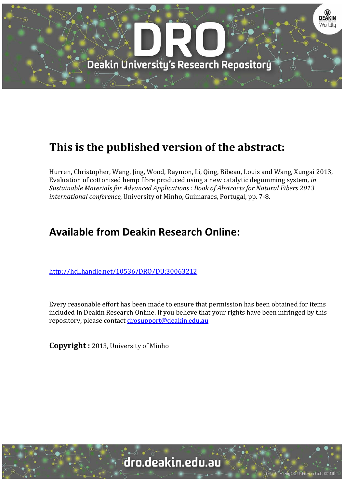

# **This is the published version of the abstract:**

Hurren, Christopher, Wang, Jing, Wood, Raymon, Li, Qing, Bibeau, Louis and Wang, Xungai 2013, Evaluation of cottonised hemp fibre produced using a new catalytic degumming system, *in Sustainable Materials for Advanced Applications : Book of Abstracts for Natural Fibers 2013 international conference*, University of Minho, Guimaraes, Portugal, pp. 7-8.

## **Available from Deakin Research Online:**

http://hdl.handle.net/10536/DRO/DU:30063212

Every reasonable effort has been made to ensure that permission has been obtained for items included in Deakin Research Online. If you believe that your rights have been infringed by this repository, please contact drosupport@deakin.edu.au

**Copyright** : 2013, University of Minho

University CRICOS Provider Code: 00113E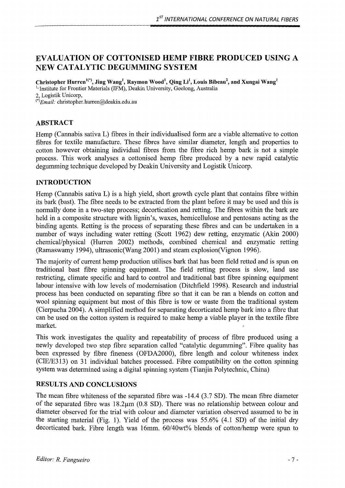### EVALUATION OF COTTONISED HEMP FIBRE PRODUCED USING A NEW CATALYTIC DEGUMMING SYSTEM

Christopher Hurren $^{1(*)}$ , Jing Wang $^{1}$ , Raymon Wood $^{1}$ , Qing Li $^{1}$ , Louis Bibeau $^{2}$ , and Xungai Wang $^{1}$ <sup>1,</sup> Institute for Frontier Materials (IFM), Deakin University, Geelong, Australia 2, Logistik Unicorp,

 $^{(*)}$ Email: christopher.hurren@deakin.edu.au

#### ABSTRACT

Hemp (Cannabis sativa L) fibres in their individualised form are a viable alternative to cotton fibres for textile manufacture. These fibres have similar diameter, length and properties to cotton however obtaining individual fibres from the fibre rich hemp bark is not a simple process. This work analyses a cottonised hemp fibre produced by a new rapid catalytic degumming technique developed by Deakin University and Logistik Unicorp.

#### INTRODUCTION

Hemp (Cannabis sativa L) is a high yield, short growth cycle plant that contains fibre within its bark (bast). The fibre needs to be extracted from the plant before it may be used and this is normally done in a two-step process; decortication and retting. The fibres within the bark are held in a composite structure with lignin's, waxes, hemicellulose and pentosans acting as the binding agents. Retting is the process of separating these fibres and can be undertaken in a number of ways including water retting (Scott 1962) dew retting, enzymatic (Akin 2000) chemical/physical (Hurren 2002) methods, combined chemical and enzymatic retting (Ramaswamy 1994), ultrasonic(Wang 2001) and steam explosion(Vignon 1996).

The majority of current hemp production utilises bark that has been field retted and is spun on traditional bast fibre spinning equipment. The field retting process is slow, land use restricting, climate specific and hard to control and traditional bast fibre spinning equipment labour intensive with low levels of modernisation (Ditchfield 1998). Research and industrial process has been conducted on separating fibre so that it can be ran a blends on cotton and wool spinning equipment but most of this fibre is tow or waste from the traditional system (Cierpucha 2004). A simplified method for separating decorticated hemp bark into a fibre that can be used on the cotton system is required to make hemp a viable player in the textile fibre market.

This work investigates the quality and repeatability of process of fibre produced using a newly developed two step fibre separation called "catalytic degumming". Fibre quality has been expressed by fibre fineness (OFDA2000), fibre length and colour whiteness index (CIE/E313) on 31 individual batches processed. Fibre compatibility on the cotton spinning system was determined using a digital spinning system (Tianjin Polytechnic, China)

#### RESULTS AND CONCLUSIONS

The mean fibre whiteness of the separated fibre was -14.4 (3.7 SD). The mean fibre diameter of the separated fibre was 18.2µm (0.8 SD). There was no relationship between colour and diameter observed for the trial with colour and diameter variation observed assumed to be in the starting material (Fig. 1). Yield of the process was 55.6% (4.1 SD) of the initial dry decorticated bark. Fibre length was 16mm. 60/40wt% blends of cotton/hemp were spun to